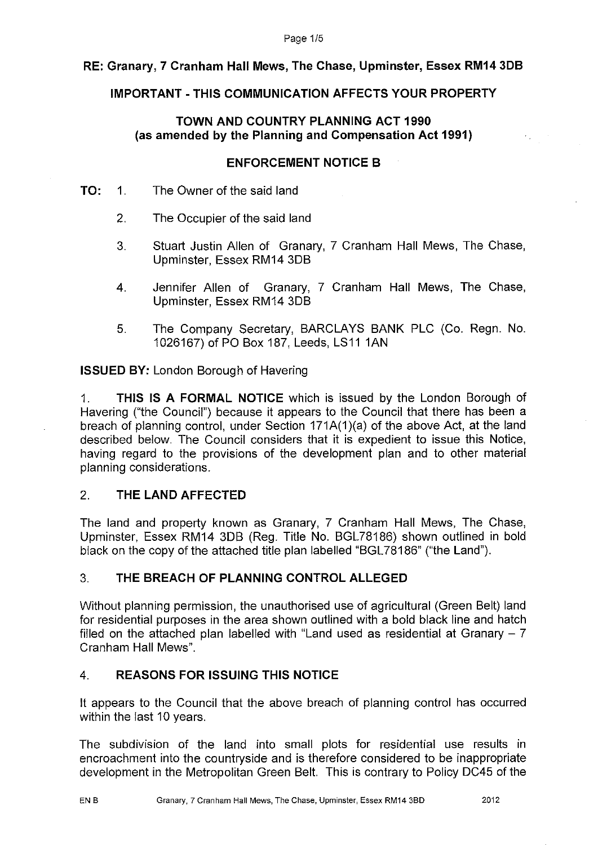### Page 1/5

# **RE: Granary, 7 Cranham Hall Mews, The Chase, Upminster, Essex RM14 308**

## **IMPORTANT-THIS COMMUNICATION AFFECTS YOUR PROPERTY**

## **TOWN AND COUNTRY PLANNING ACT 1990 (as amended by the Planning and Compensation Act 1991)**

### **ENFORCEMENT NOTICE B**

- **TO:** 1. The Owner of the said land
	- 2. The Occupier of the said land
	- 3. Stuart Justin Allen of Granary, 7 Cranham Hall Mews, The Chase, Upminster, Essex RM14 3DB
	- 4. Jennifer Allen of Granary, 7 Cranham Hall Mews, The Chase, Upminster, Essex RM14 3DB
	- 5. The Company Secretary, BARCLAYS BANK PLC (Co. Regn. No. 1026167) of PO Box 187, Leeds, LS11 1AN

**ISSUED BY:** London Borough of Havering

1. **THIS IS A FORMAL NOTICE** which is issued by the London Borough of Havering ("the Council") because it appears to the Council that there has been a breach of planning control, under Section 171A(1)(a) of the above Act, at the land described below. The Council considers that it is expedient to issue this Notice, having regard to the provisions of the development plan and to other material planning considerations.

# 2. **THE LAND AFFECTED**

The land and property known as Granary, 7 Cranham Hall Mews, The Chase, Upminster, Essex RM14 3DB (Reg. Title No. BGL78186) shown outlined in bold black on the copy of the attached title plan labelled "BGL78186" ("the Land").

# 3. **THE BREACH OF PLANNING CONTROL ALLEGED**

Without planning permission, the unauthorised use of agricultural (Green Belt) land for residential purposes in the area shown outlined with a bold black line and hatch filled on the attached plan labelled with "Land used as residential at Granary  $-7$ Cranham Hall Mews".

# 4. **REASONS FOR ISSUING THIS NOTICE**

It appears to the Council that the above breach of planning control has occurred within the last 10 years.

The subdivision of the land into small plots for residential use results in encroachment into the countryside and is therefore considered to be inappropriate development in the Metropolitan Green Belt. This is contrary to Policy DC45 of the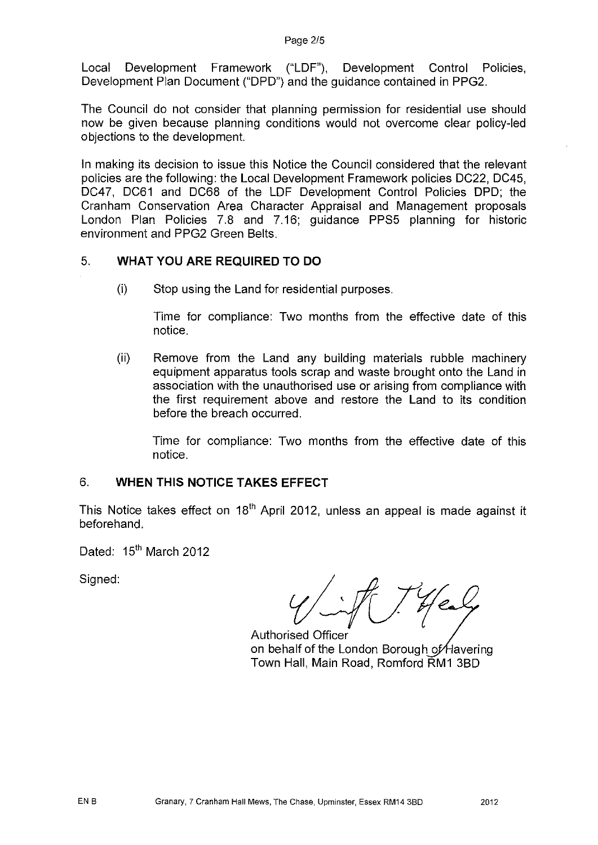Local Development Framework ("LDF"), Development Control Policies, Development Plan Document ("DPD") and the guidance contained in PPG2.

The Council do not consider that planning permission for residential use should now be given because planning conditions would not overcome clear policy-led objections to the development.

In making its decision to issue this Notice the Council considered that the relevant policies are the following: the Local Development Framework policies DC22, DC45, DC47, DC61 and DC68 of the LDF Development Control Policies DPD; the Cranham Conservation Area Character Appraisal and Management proposals London Plan Policies 7.8 and 7.16; guidance PPS5 planning for historic environment and PPG2 Green Belts.

### 5. **WHAT YOU ARE REQUIRED TO DO**

(i) Stop using the Land for residential purposes.

Time for compliance: Two months from the effective date of this notice.

(ii) Remove from the Land any building materials rubble machinery equipment apparatus tools scrap and waste brought onto the Land in association with the unauthorised use or arising from compliance with the first requirement above and restore the Land to its condition before the breach occurred.

Time for compliance: Two months from the effective date of this notice.

### 6. **WHEN THIS NOTICE TAKES EFFECT**

This Notice takes effect on  $18<sup>th</sup>$  April 2012, unless an appeal is made against it beforehand.

Dated: 15<sup>th</sup> March 2012

Signed:

 $\sim$ 

Authorised Officer on behalf of the London Borough of Havering Town Hall, Main Road, Romford RM1 3BD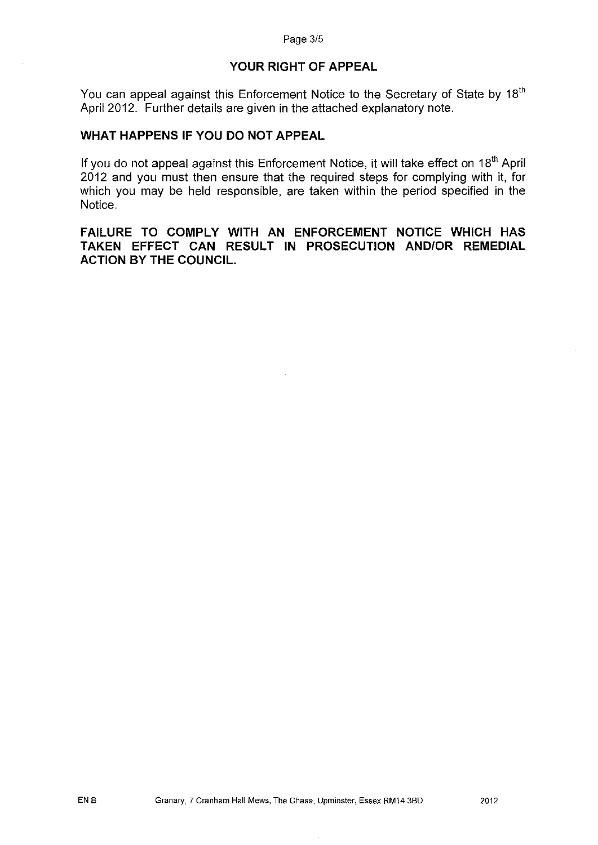### **YOUR RIGHT OF APPEAL**

You can appeal against this Enforcement Notice to the Secretary of State by 18<sup>th</sup> April 2012. Further details are given in the attached explanatory note.

# **WHAT HAPPENS IF YOU DO NOT APPEAL**

If you do not appeal against this Enforcement Notice, it will take effect on 18<sup>th</sup> April 2012 and you must then ensure that the required steps for complying with it, for which you may be held responsible, are taken within the period specified in the Notice.

**FAILURE TO COMPLY WITH AN ENFORCEMENT NOTICE WHICH HAS TAKEN EFFECT CAN RESULT IN PROSECUTION AND/OR REMEDIAL ACTION BY THE COUNCIL.**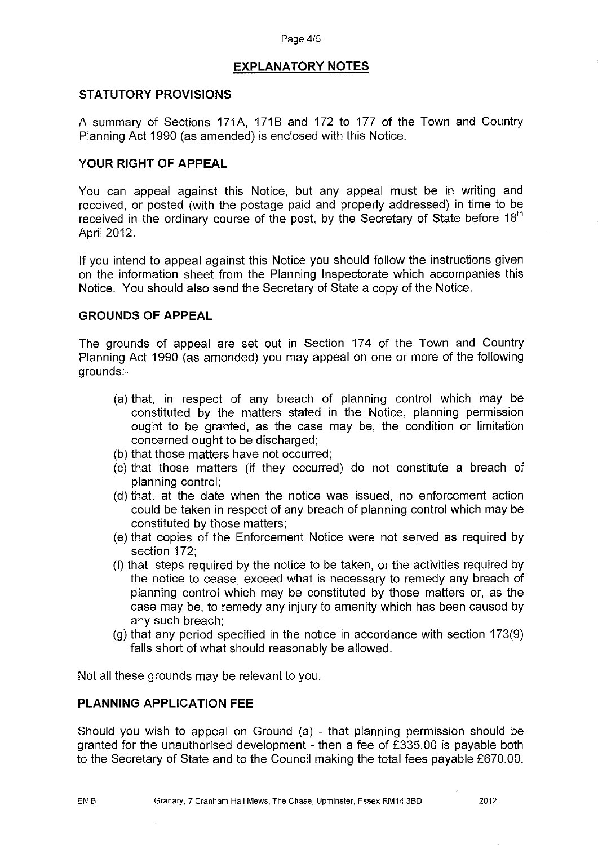# **EXPLANATORY NOTES**

### **STATUTORY PROVISIONS**

A summary of Sections 171A, 171B and 172 to 177 of the Town and Country Planning Act 1990 (as amended) is enclosed with this Notice.

### **YOUR RIGHT OF APPEAL**

You can appeal against this Notice, but any appeal must be in writing and received, or posted (with the postage paid and properly addressed) in time to be received in the ordinary course of the post, by the Secretary of State before  $18<sup>th</sup>$ April 2012.

If you intend to appeal against this Notice you should follow the instructions given on the information sheet from the Planning Inspectorate which accompanies this Notice. You should also send the Secretary of State a copy of the Notice.

### **GROUNDS OF APPEAL**

The grounds of appeal are set out in Section 174 of the Town and Country Planning Act 1990 (as amended) you may appeal on one or more of the following grounds:-

- (a) that, in respect of any breach of planning control which may be constituted by the matters stated in the Notice, planning permission ought to be granted, as the case may be, the condition or limitation concerned ought to be discharged;
- (b) that those matters have not occurred;
- (c) that those matters (if they occurred) do not constitute a breach of planning control;
- (d) that, at the date when the notice was issued, no enforcement action could be taken in respect of any breach of planning control which may be constituted by those matters;
- (e) that copies of the Enforcement Notice were not served as required by section 172;
- (f) that steps required by the notice to be taken, or the activities required by the notice to cease, exceed what is necessary to remedy any breach of planning control which may be constituted by those matters or, as the case may be, to remedy any injury to amenity which has been caused by any such breach;
- (g) that any period specified in the notice in accordance with section 173(9) falls short of what should reasonably be allowed.

Not all these grounds may be relevant to you.

### **PLANNING APPLICATION FEE**

Should you wish to appeal on Ground (a) - that planning permission should be granted for the unauthorised development - then a fee of £335.00 is payable both to the Secretary of State and to the Council making the total fees payable £670.00.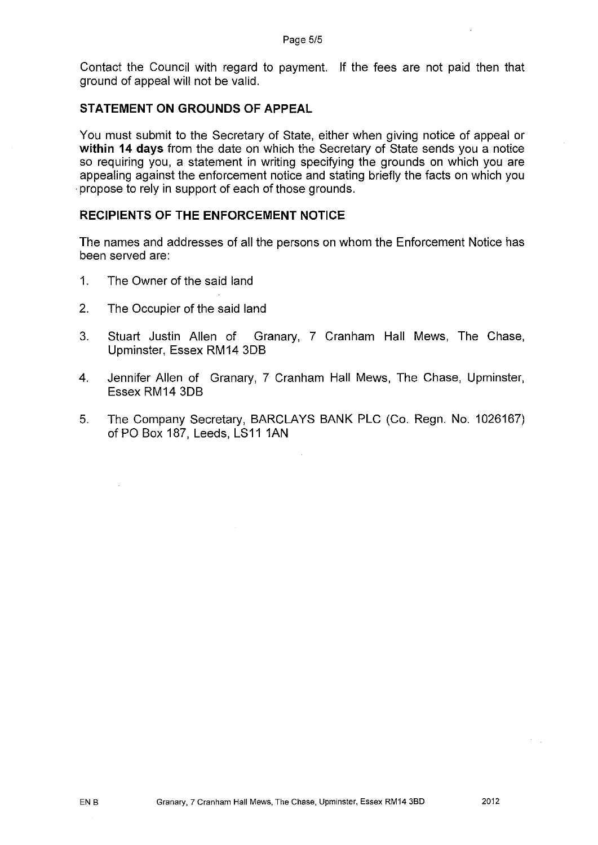Contact the Council with regard to payment. If the fees are not paid then that ground of appeal will not be valid.

### **STATEMENT ON GROUNDS OF APPEAL**

You must submit to the Secretary of State, either when giving notice of appeal or **within 14 days** from the date on which the Secretary of State sends you a notice so requiring you, a statement in writing specifying the grounds on which you are appealing against the enforcement notice and stating briefly the facts on which you · propose to rely in support of each of those grounds.

### **RECIPIENTS OF THE ENFORCEMENT NOTICE**

The names and addresses of all the persons on whom the Enforcement Notice has been served are:

- 1. The Owner of the said land
- 2. The Occupier of the said land
- 3. Stuart Justin Allen of Granary, 7 Cranham Hall Mews, The Chase, Upminster, Essex RM14 3DB
- 4. Jennifer Allen of Granary, 7 Cranham Hall Mews, The Chase, Upminster, Essex RM14 3DB
- 5. The Company Secretary, BARCLAYS BANK PLC (Co. Regn. No. 1026167) of PO Box 187, Leeds, LS11 1AN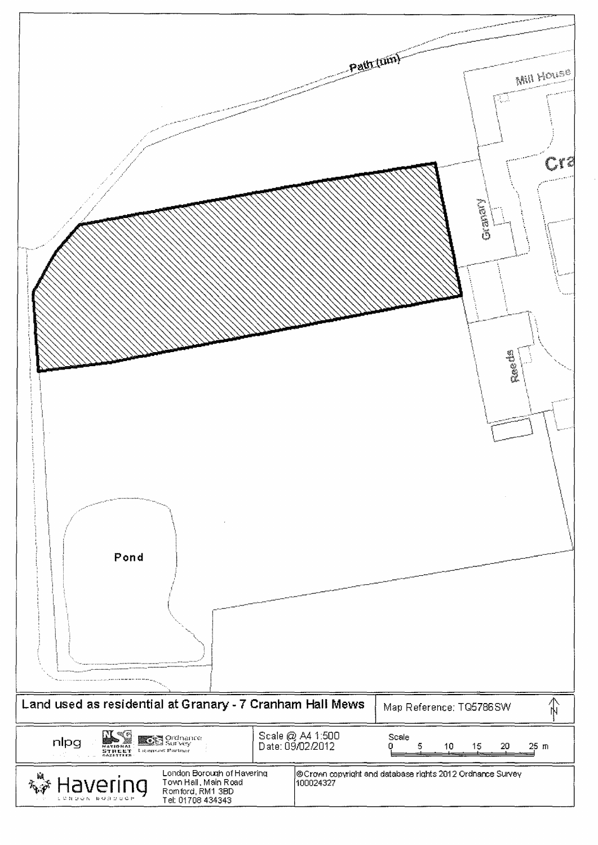